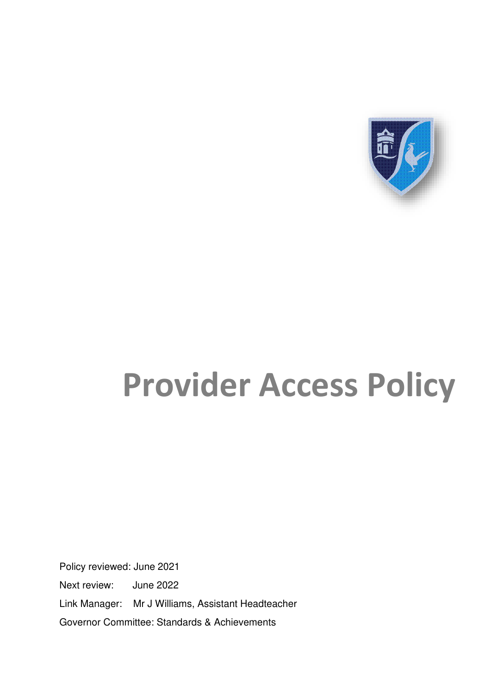

# **Provider Access Policy**

Policy reviewed: June 2021 Next review: June 2022 Link Manager: Mr J Williams, Assistant Headteacher Governor Committee: Standards & Achievements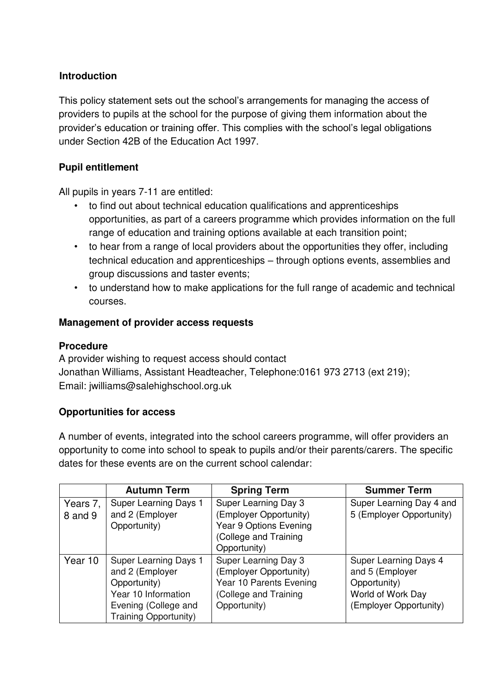# **Introduction**

This policy statement sets out the school's arrangements for managing the access of providers to pupils at the school for the purpose of giving them information about the provider's education or training offer. This complies with the school's legal obligations under Section 42B of the Education Act 1997.

# **Pupil entitlement**

All pupils in years 7-11 are entitled:

- to find out about technical education qualifications and apprenticeships opportunities, as part of a careers programme which provides information on the full range of education and training options available at each transition point;
- to hear from a range of local providers about the opportunities they offer, including technical education and apprenticeships – through options events, assemblies and group discussions and taster events;
- to understand how to make applications for the full range of academic and technical courses.

## **Management of provider access requests**

#### **Procedure**

A provider wishing to request access should contact Jonathan Williams, Assistant Headteacher, Telephone:0161 973 2713 (ext 219); Email: jwilliams@salehighschool.org.uk

## **Opportunities for access**

A number of events, integrated into the school careers programme, will offer providers an opportunity to come into school to speak to pupils and/or their parents/carers. The specific dates for these events are on the current school calendar:

|          | <b>Autumn Term</b>           | <b>Spring Term</b>      | <b>Summer Term</b>       |
|----------|------------------------------|-------------------------|--------------------------|
| Years 7, | Super Learning Days 1        | Super Learning Day 3    | Super Learning Day 4 and |
| 8 and 9  | and 2 (Employer              | (Employer Opportunity)  | 5 (Employer Opportunity) |
|          | Opportunity)                 | Year 9 Options Evening  |                          |
|          |                              | (College and Training   |                          |
|          |                              | Opportunity)            |                          |
| Year 10  | Super Learning Days 1        | Super Learning Day 3    | Super Learning Days 4    |
|          | and 2 (Employer              | (Employer Opportunity)  | and 5 (Employer          |
|          | Opportunity)                 | Year 10 Parents Evening | Opportunity)             |
|          | Year 10 Information          | (College and Training   | World of Work Day        |
|          | Evening (College and         | Opportunity)            | (Employer Opportunity)   |
|          | <b>Training Opportunity)</b> |                         |                          |